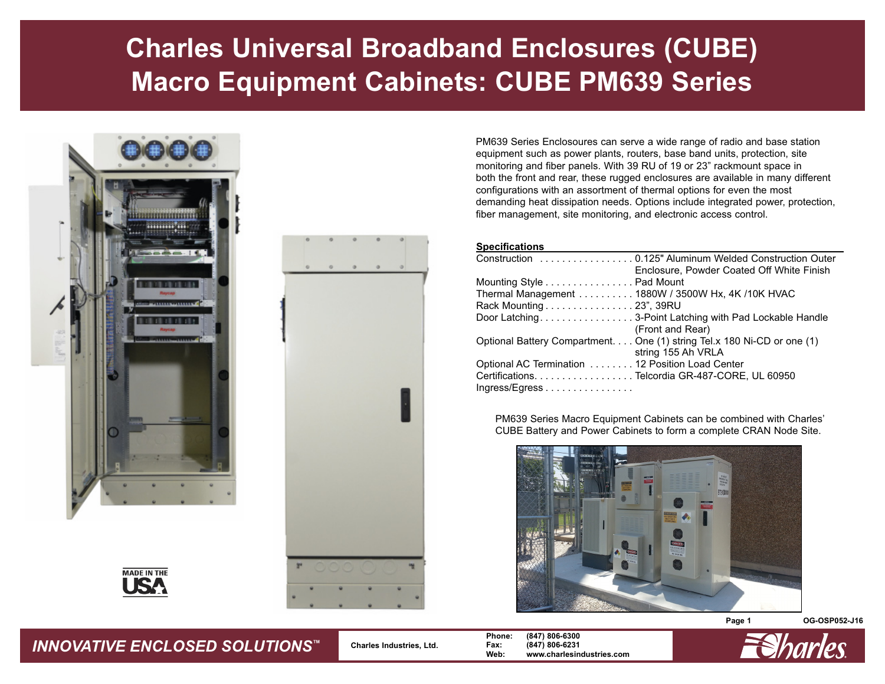# **Charles Universal Broadband Enclosures (CUBE) Macro Equipment Cabinets: CUBE PM639 Series**





PM639 Series Enclosoures can serve a wide range of radio and base station equipment such as power plants, routers, base band units, protection, site monitoring and fiber panels. With 39 RU of 19 or 23" rackmount space in both the front and rear, these rugged enclosures are available in many different configurations with an assortment of thermal options for even the most demanding heat dissipation needs. Options include integrated power, protection, fiber management, site monitoring, and electronic access control.

#### **Specifications**

| Enclosure, Powder Coated Off White Finish                               |
|-------------------------------------------------------------------------|
| Mounting Style Pad Mount                                                |
| Thermal Management 1880W / 3500W Hx, 4K / 10K HVAC                      |
| Rack Mounting 23", 39RU                                                 |
| Door Latching3-Point Latching with Pad Lockable Handle                  |
| (Front and Rear)                                                        |
| Optional Battery Compartment. One (1) string Tel.x 180 Ni-CD or one (1) |
| string 155 Ah VRLA                                                      |
| Optional AC Termination 12 Position Load Center                         |
| Certifications. Telcordia GR-487-CORE, UL 60950                         |
| Ingress/Egress                                                          |

PM639 Series Macro Equipment Cabinets can be combined with Charles' CUBE Battery and Power Cabinets to form a complete CRAN Node Site.



**Page 1 OG-OSP052-J16**



 **Charles Industries, Ltd. Phone: (847) 806-6300 Fax: (847) 806-6231 Web: www.charlesindustries.com**

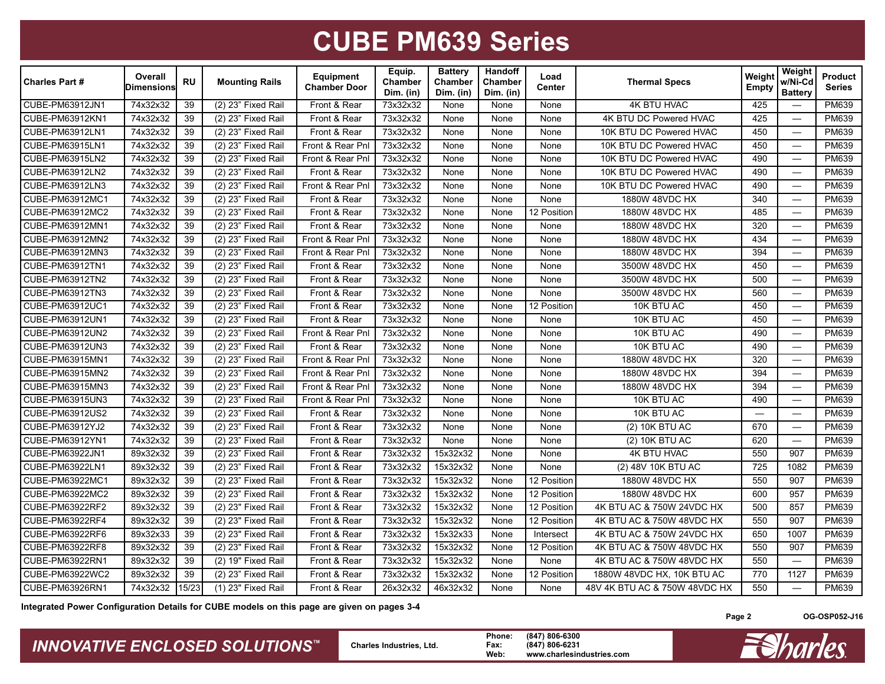| <b>Charles Part #</b> | Overall<br><b>Dimensions</b> | <b>RU</b>       | <b>Mounting Rails</b>            | <b>Equipment</b><br><b>Chamber Door</b> | Equip.<br>Chamber<br>Dim. (in) | <b>Battery</b><br>Chamber<br>Dim. (in) | Handoff<br><b>Chamber</b><br>Dim. (in) | Load<br>Center | <b>Thermal Specs</b>          | Weight<br><b>Empty</b> | Weight<br>w/Ni-Cd<br><b>Battery</b> | Product<br><b>Series</b> |
|-----------------------|------------------------------|-----------------|----------------------------------|-----------------------------------------|--------------------------------|----------------------------------------|----------------------------------------|----------------|-------------------------------|------------------------|-------------------------------------|--------------------------|
| CUBE-PM63912JN1       | 74x32x32                     | 39              | (2) 23" Fixed Rail               | Front & Rear                            | 73x32x32                       | None                                   | None                                   | None           | <b>4K BTU HVAC</b>            | 425                    |                                     | PM639                    |
| CUBE-PM63912KN1       | 74x32x32                     | 39              | (2) 23" Fixed Rail               | Front & Rear                            | 73x32x32                       | None                                   | None                                   | None           | 4K BTU DC Powered HVAC        | 425                    |                                     | PM639                    |
| CUBE-PM63912LN1       | 74x32x32                     | 39              | $(2)$ 23" Fixed Rail             | Front & Rear                            | 73x32x32                       | None                                   | None                                   | None           | 10K BTU DC Powered HVAC       | 450                    | $\overbrace{\phantom{12322111}}$    | PM639                    |
| CUBE-PM63915LN1       | 74x32x32                     | 39              | (2) 23" Fixed Rail               | Front & Rear Pnl                        | 73x32x32                       | None                                   | None                                   | None           | 10K BTU DC Powered HVAC       | 450                    | $\overbrace{\phantom{12322111}}$    | PM639                    |
| CUBE-PM63915LN2       | 74x32x32                     | 39              | (2) 23" Fixed Rail               | Front & Rear Pnl                        | 73x32x32                       | None                                   | None                                   | None           | 10K BTU DC Powered HVAC       | 490                    | $\overline{\phantom{m}}$            | PM639                    |
| CUBE-PM63912LN2       | 74x32x32                     | 39              | (2) 23" Fixed Rail               | Front & Rear                            | 73x32x32                       | None                                   | None                                   | None           | 10K BTU DC Powered HVAC       | 490                    | $\overline{\phantom{0}}$            | PM639                    |
| CUBE-PM63912LN3       | 74x32x32                     | 39              | $(2)$ 23" Fixed Rail             | Front & Rear Pnl                        | 73x32x32                       | None                                   | None                                   | None           | 10K BTU DC Powered HVAC       | 490                    |                                     | PM639                    |
| CUBE-PM63912MC1       | 74x32x32                     | 39              | (2) 23" Fixed Rail               | Front & Rear                            | 73x32x32                       | None                                   | None                                   | None           | 1880W 48VDC HX                | 340                    | $\overline{\phantom{0}}$            | PM639                    |
| CUBE-PM63912MC2       | 74x32x32                     | 39              | (2) 23" Fixed Rail               | Front & Rear                            | 73x32x32                       | None                                   | None                                   | 12 Position    | 1880W 48VDC HX                | 485                    |                                     | PM639                    |
| CUBE-PM63912MN1       | 74x32x32                     | 39              | (2) 23" Fixed Rail               | Front & Rear                            | 73x32x32                       | None                                   | None                                   | None           | 1880W 48VDC HX                | 320                    | $\frac{1}{2}$                       | PM639                    |
| CUBE-PM63912MN2       | 74x32x32                     | 39              | (2) 23" Fixed Rail               | Front & Rear Pnl                        | 73x32x32                       | None                                   | None                                   | None           | 1880W 48VDC HX                | 434                    |                                     | PM639                    |
| CUBE-PM63912MN3       | 74x32x32                     | 39              | (2) 23" Fixed Rail               | Front & Rear Pnl                        | 73x32x32                       | None                                   | None                                   | None           | 1880W 48VDC HX                | 394                    |                                     | PM639                    |
| CUBE-PM63912TN1       | 74x32x32                     | 39              | (2) 23" Fixed Rail               | Front & Rear                            | 73x32x32                       | None                                   | None                                   | None           | 3500W 48VDC HX                | 450                    | $\overbrace{\phantom{123221111}}$   | PM639                    |
| CUBE-PM63912TN2       | 74x32x32                     | 39              | $(2)$ 23" Fixed Rail             | Front & Rear                            | 73x32x32                       | None                                   | None                                   | None           | 3500W 48VDC HX                | 500                    |                                     | PM639                    |
| CUBE-PM63912TN3       | 74x32x32                     | 39              | (2) 23" Fixed Rail               | Front & Rear                            | 73x32x32                       | None                                   | None                                   | None           | 3500W 48VDC HX                | 560                    |                                     | PM639                    |
| CUBE-PM63912UC1       | 74x32x32                     | 39              | (2) 23" Fixed Rail               | Front & Rear                            | 73x32x32                       | None                                   | None                                   | 12 Position    | 10K BTU AC                    | 450                    |                                     | PM639                    |
| CUBE-PM63912UN1       | 74x32x32                     | $\overline{39}$ | (2) 23" Fixed Rail               | Front & Rear                            | 73x32x32                       | None                                   | None                                   | None           | 10K BTU AC                    | 450                    |                                     | PM639                    |
| CUBE-PM63912UN2       | 74x32x32                     | 39              | (2) 23" Fixed Rail               | Front & Rear Pnl                        | 73x32x32                       | None                                   | None                                   | None           | 10K BTU AC                    | 490                    |                                     | PM639                    |
| CUBE-PM63912UN3       | 74x32x32                     | 39              | (2) 23" Fixed Rail               | Front & Rear                            | 73x32x32                       | None                                   | None                                   | None           | 10K BTU AC                    | 490                    |                                     | PM639                    |
| CUBE-PM63915MN1       | 74x32x32                     | 39              | (2) 23" Fixed Rail               | Front & Rear Pnl                        | 73x32x32                       | None                                   | None                                   | None           | 1880W 48VDC HX                | 320                    |                                     | PM639                    |
| CUBE-PM63915MN2       | 74x32x32                     | 39              | (2) 23" Fixed Rail               | Front & Rear Pnl                        | 73x32x32                       | None                                   | None                                   | None           | 1880W 48VDC HX                | 394                    |                                     | PM639                    |
| CUBE-PM63915MN3       | 74x32x32                     | 39              | (2) 23" Fixed Rail               | Front & Rear Pnl                        | 73x32x32                       | None                                   | None                                   | None           | 1880W 48VDC HX                |                        | $\overline{\phantom{0}}$            | PM639                    |
| CUBE-PM63915UN3       | 74x32x32                     | 39              | (2) 23" Fixed Rail               | Front & Rear Pnl                        | 73x32x32                       | None                                   | None                                   | None           | 10K BTU AC                    | 490                    | $\overline{\phantom{0}}$            | PM639                    |
| CUBE-PM63912US2       | 74x32x32                     | 39              | (2) 23" Fixed Rail               | Front & Rear                            | 73x32x32                       | None                                   | None                                   | None           | 10K BTU AC                    |                        | $\overline{\phantom{0}}$            | PM639                    |
| CUBE-PM63912YJ2       | 74x32x32                     | $\overline{39}$ | (2) 23" Fixed Rail               | Front & Rear                            | 73x32x32                       | None                                   | None                                   | None           | (2) 10K BTU AC                | 670                    |                                     | PM639                    |
| CUBE-PM63912YN1       | 74x32x32                     | 39              | (2) 23" Fixed Rail               | Front & Rear                            | 73x32x32                       | None                                   | None                                   | None           | (2) 10K BTU AC                | 620                    |                                     | PM639                    |
| CUBE-PM63922JN1       | 89x32x32                     | $\overline{39}$ | (2) 23" Fixed Rail               | Front & Rear                            | 73x32x32                       | 15x32x32                               | None                                   | None           | 4K BTU HVAC                   | 550                    | 907                                 | PM639                    |
| CUBE-PM63922LN1       | 89x32x32                     | 39              | (2) 23" Fixed Rail               | Front & Rear                            | 73x32x32                       | 15x32x32                               | None                                   | None           | (2) 48V 10K BTU AC            | 725                    | 1082                                | PM639                    |
| CUBE-PM63922MC1       | 89x32x32                     | 39              | (2) 23" Fixed Rail               | Front & Rear                            | 73x32x32                       | 15x32x32                               | None                                   | 12 Position    | 1880W 48VDC HX                | 550                    | 907                                 | PM639                    |
| CUBE-PM63922MC2       | 89x32x32                     | 39              | $\overline{(2) 23}$ " Fixed Rail | Front & Rear                            | 73x32x32                       | 15x32x32                               | None                                   | 12 Position    | 1880W 48VDC HX                | 600                    | 957                                 | PM639                    |
| CUBE-PM63922RF2       | 89x32x32                     | 39              | (2) 23" Fixed Rail               | Front & Rear                            | 73x32x32                       | 15x32x32                               | None                                   | 12 Position    | 4K BTU AC & 750W 24VDC HX     | 500                    | 857                                 | PM639                    |
| CUBE-PM63922RF4       | 89x32x32                     | 39              | (2) 23" Fixed Rail               | Front & Rear                            | 73x32x32                       | 15x32x32                               | None                                   | 12 Position    | 4K BTU AC & 750W 48VDC HX     | 550                    | 907                                 | PM639                    |
| CUBE-PM63922RF6       | 89x32x33                     | 39              | (2) 23" Fixed Rail               | Front & Rear                            | 73x32x32                       | 15x32x33                               | None                                   | Intersect      | 4K BTU AC & 750W 24VDC HX     | 650                    | 1007                                | PM639                    |
| CUBE-PM63922RF8       | 89x32x32                     | 39              | (2) 23" Fixed Rail               | Front & Rear                            | 73x32x32                       | 15x32x32                               | None                                   | 12 Position    | 4K BTU AC & 750W 48VDC HX     | 550                    | 907                                 | PM639                    |
| CUBE-PM63922RN1       | 89x32x32                     | $\overline{39}$ | $(2)$ 19" Fixed Rail             | Front & Rear                            | 73x32x32                       | 15x32x32                               | None                                   | None           | 4K BTU AC & 750W 48VDC HX     | 550                    |                                     | PM639                    |
| CUBE-PM63922WC2       | 89x32x32                     | 39              | (2) 23" Fixed Rail               | Front & Rear                            | 73x32x32                       | 15x32x32                               | None                                   | 12 Position    | 1880W 48VDC HX, 10K BTU AC    | 770                    | 1127                                | PM639                    |
| CUBE-PM63926RN1       | 74x32x32                     | 15/23           | (1) 23" Fixed Rail               | Front & Rear                            | 26x32x32                       | 46x32x32                               | None                                   | None           | 48V 4K BTU AC & 750W 48VDC HX | 550                    | $\overline{\phantom{0}}$            | PM639                    |

**Integrated Power Configuration Details for CUBE models on this page are given on pages 3-4**

*INNOVATIVE ENCLOSED SOLUTIONS™* **Charles Industries, Ltd. Phone: (847) 806-6300 Fax: (847) 806-6231 Web: www.charlesindustries.com**

**Page 2**

**OG-OSP052-J16**

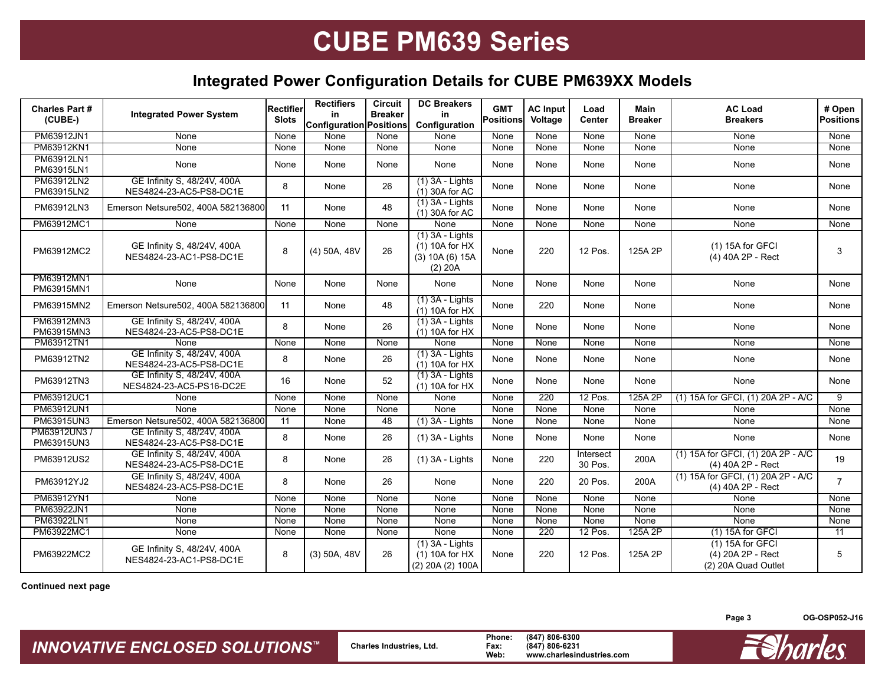### **Integrated Power Configuration Details for CUBE PM639XX Models**

| Charles Part #<br>(CUBE-)  | <b>Integrated Power System</b>                          | Rectifier<br><b>Slots</b> | <b>Rectifiers</b><br>in<br>Configuration Positions | <b>Circuit</b><br><b>Breaker</b> | <b>DC Breakers</b><br>in<br>Configuration                            | <b>GMT</b><br>Positions | <b>AC Input</b><br>Voltage | Load<br><b>Center</b> | <b>Main</b><br><b>Breaker</b> | <b>AC Load</b><br><b>Breakers</b>                            | # Open<br><b>Positions</b> |
|----------------------------|---------------------------------------------------------|---------------------------|----------------------------------------------------|----------------------------------|----------------------------------------------------------------------|-------------------------|----------------------------|-----------------------|-------------------------------|--------------------------------------------------------------|----------------------------|
| PM63912JN1                 | None                                                    | None                      | None                                               | None                             | None                                                                 | None                    | None                       | None                  | None                          | None                                                         | None                       |
| PM63912KN1                 | <b>None</b>                                             | None                      | <b>None</b>                                        | None                             | None                                                                 | None                    | None                       | None                  | None                          | None                                                         | None                       |
| PM63912LN1<br>PM63915LN1   | None                                                    | None                      | None                                               | None                             | None                                                                 | None                    | None                       | None                  | None                          | None                                                         | None                       |
| PM63912LN2<br>PM63915LN2   | GE Infinity S, 48/24V, 400A<br>NES4824-23-AC5-PS8-DC1E  | 8                         | None                                               | 26                               | $(1)$ 3A - Lights<br>(1) 30A for AC                                  | None                    | None                       | None                  | None                          | None                                                         | None                       |
| PM63912LN3                 | Emerson Netsure502, 400A 582136800                      | 11                        | None                                               | 48                               | $(1)$ 3A - Lights<br>(1) 30A for AC                                  | None                    | None                       | None                  | None                          | None                                                         | None                       |
| PM63912MC1                 | None                                                    | None                      | None                                               | None                             | None                                                                 | None                    | None                       | None                  | None                          | None                                                         | None                       |
| PM63912MC2                 | GE Infinity S, 48/24V, 400A<br>NES4824-23-AC1-PS8-DC1E  | 8                         | (4) 50A, 48V                                       | 26                               | $(1)$ 3A - Lights<br>$(1)$ 10A for HX<br>(3) 10A(6) 15A<br>$(2)$ 20A | None                    | 220                        | 12 Pos.               | 125A 2P                       | $(1)$ 15A for GFCI<br>(4) 40A 2P - Rect                      | 3                          |
| PM63912MN1<br>PM63915MN1   | None                                                    | None                      | None                                               | None                             | None                                                                 | None                    | None                       | None                  | None                          | None                                                         | None                       |
| PM63915MN2                 | Emerson Netsure502, 400A 582136800                      | 11                        | None                                               | 48                               | $(1)$ 3A - Lights<br>$(1)$ 10A for HX                                | None                    | 220                        | None                  | None                          | None                                                         | None                       |
| PM63912MN3<br>PM63915MN3   | GE Infinity S, 48/24V, 400A<br>NES4824-23-AC5-PS8-DC1E  | 8                         | None                                               | 26                               | $(1)$ 3A - Lights<br>$(1)$ 10A for HX                                | None                    | None                       | None                  | None                          | None                                                         | None                       |
| PM63912TN1                 | None                                                    | None                      | None                                               | None                             | <b>None</b>                                                          | None                    | None                       | None                  | <b>None</b>                   | None                                                         | None                       |
| PM63912TN2                 | GE Infinity S, 48/24V, 400A<br>NES4824-23-AC5-PS8-DC1E  | 8                         | None                                               | 26                               | $(1)$ 3A - Lights<br>(1) 10A for HX                                  | None                    | None                       | None                  | None                          | None                                                         | None                       |
| PM63912TN3                 | GE Infinity S, 48/24V, 400A<br>NES4824-23-AC5-PS16-DC2E | 16                        | None                                               | 52                               | $(1)$ 3A - Lights<br>$(1)$ 10A for HX                                | None                    | None                       | None                  | None                          | None                                                         | None                       |
| PM63912UC1                 | None                                                    | None                      | <b>None</b>                                        | None                             | <b>None</b>                                                          | None                    | 220                        | 12 Pos.               | 125A 2P                       | (1) 15A for GFCI, (1) 20A 2P - A/C                           | $\overline{9}$             |
| PM63912UN1                 | <b>None</b>                                             | None                      | None                                               | None                             | <b>None</b>                                                          | None                    | None                       | None                  | <b>None</b>                   | <b>None</b>                                                  | None                       |
| <b>PM63915UN3</b>          | Emerson Netsure502, 400A 582136800                      | $\overline{11}$           | None                                               | 48                               | $(1)$ 3A - Lights                                                    | None                    | None                       | None                  | None                          | None                                                         | None                       |
| PM63912UN3 /<br>PM63915UN3 | GE Infinity S, 48/24V, 400A<br>NES4824-23-AC5-PS8-DC1E  | 8                         | None                                               | 26                               | $(1)$ 3A - Lights                                                    | None                    | None                       | None                  | None                          | None                                                         | None                       |
| PM63912US2                 | GE Infinity S, 48/24V, 400A<br>NES4824-23-AC5-PS8-DC1E  | 8                         | None                                               | 26                               | $(1)$ 3A - Lights                                                    | None                    | 220                        | Intersect<br>30 Pos.  | 200A                          | (1) 15A for GFCI, (1) 20A 2P - A/C<br>(4) 40A 2P - Rect      | 19                         |
| PM63912YJ2                 | GE Infinity S, 48/24V, 400A<br>NES4824-23-AC5-PS8-DC1E  | 8                         | None                                               | 26                               | None                                                                 | None                    | 220                        | 20 Pos.               | 200A                          | (1) 15A for GFCI, (1) 20A 2P - A/C<br>(4) 40A 2P - Rect      | $\overline{7}$             |
| PM63912YN1                 | None                                                    | None                      | None                                               | None                             | None                                                                 | None                    | None                       | None                  | None                          | None                                                         | None                       |
| PM63922JN1                 | None                                                    | None                      | None                                               | None                             | None                                                                 | None                    | None                       | None                  | None                          | None                                                         | None                       |
| PM63922LN1                 | None                                                    | None                      | <b>None</b>                                        | None                             | None                                                                 | None                    | <b>None</b>                | None                  | <b>None</b>                   | <b>None</b>                                                  | None                       |
| PM63922MC1                 | <b>None</b>                                             | None                      | <b>None</b>                                        | None                             | <b>None</b>                                                          | None                    | 220                        | 12 Pos.               | 125A 2P                       | $(1)$ 15A for GFCI                                           | 11                         |
| PM63922MC2                 | GE Infinity S, 48/24V, 400A<br>NES4824-23-AC1-PS8-DC1E  | 8                         | $(3)$ 50A, 48V                                     | 26                               | $(1)$ 3A - Lights<br>$(1)$ 10A for HX<br>(2) 20A (2) 100A            | None                    | 220                        | 12 Pos.               | 125A 2P                       | (1) 15A for GFCI<br>(4) 20A 2P - Rect<br>(2) 20A Quad Outlet | 5                          |

**Continued next page**

**Page 3**

**OG-OSP052-J16**

*INNOVATIVE ENCLOSED SOLUTIONS™* **Charles Industries, Ltd. Phone: (847) 806-6300 Fax: (847) 806-6231 Web: www.charlesindustries.com**

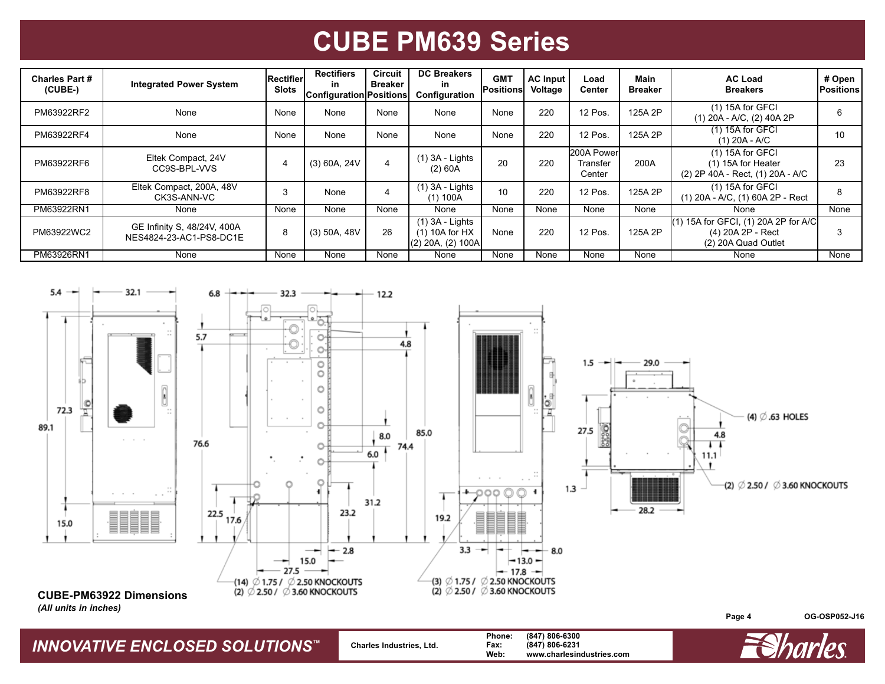| <b>Charles Part #</b><br>$(CUBE-)$ | <b>Integrated Power System</b>                         | <b>Rectifier</b><br><b>Slots</b> | <b>Rectifiers</b><br>in<br><b>Configuration</b> | Circuit<br><b>Breaker</b><br><b>Positions</b> | <b>DC Breakers</b><br>in<br><b>Configuration</b>           | <b>GMT</b><br>Positionsl | <b>AC Input</b><br>Voltage | Load<br>Center                   | <b>Main</b><br><b>Breaker</b> | <b>AC Load</b><br><b>Breakers</b>                                                    | # Open<br><b>IPositions</b> |
|------------------------------------|--------------------------------------------------------|----------------------------------|-------------------------------------------------|-----------------------------------------------|------------------------------------------------------------|--------------------------|----------------------------|----------------------------------|-------------------------------|--------------------------------------------------------------------------------------|-----------------------------|
| PM63922RF2                         | None                                                   | None                             | None                                            | None                                          | None                                                       | None                     | 220                        | 12 Pos.                          | 125A 2P                       | $(1)$ 15A for GFCI<br>$(1)$ 20A - A/C, $(2)$ 40A 2P                                  | 6                           |
| PM63922RF4                         | None                                                   | None                             | None                                            | None                                          | None                                                       | None                     | 220                        | 12 Pos.                          | 125A 2P                       | $(1)$ 15A for GFCI<br>$(1)$ 20A - A/C                                                | 10                          |
| PM63922RF6                         | Eltek Compact, 24V<br>CC9S-BPL-VVS                     |                                  | $(3)$ 60A, 24V                                  | 4                                             | $(1)$ 3A - Lights<br>(2) 60A                               | 20                       | 220                        | 200A Power<br>Transfer<br>Center | 200A                          | $(1)$ 15A for GFCI<br>(1) 15A for Heater<br>(2) 2P 40A - Rect, (1) 20A - A/C         | 23                          |
| PM63922RF8                         | Eltek Compact, 200A, 48V<br>CK3S-ANN-VC                | 3                                | None                                            | 4                                             | $(1)$ 3A - Lights<br>(1) 100A                              | 10                       | 220                        | 12 Pos.                          | 125A 2P                       | $(1)$ 15A for GFCI<br>(1) 20A - A/C, (1) 60A 2P - Rect                               | 8                           |
| PM63922RN1                         | None                                                   | None                             | None                                            | None                                          | None                                                       | None                     | None                       | None                             | None                          | None                                                                                 | None                        |
| PM63922WC2                         | GE Infinity S, 48/24V, 400A<br>NES4824-23-AC1-PS8-DC1E | 8                                | $(3)$ 50A, 48V                                  | 26                                            | $(1)$ 3A - Lights<br>$(1)$ 10A for HX<br>(2) 20A, (2) 100A | None                     | 220                        | 12 Pos.                          | 125A 2P                       | $(1)$ 15A for GFCI, $(1)$ 20A 2P for A/C<br>(4) 20A 2P - Rect<br>(2) 20A Quad Outlet | 3                           |
| PM63926RN1                         | None                                                   | None                             | None                                            | None                                          | None                                                       | None                     | None                       | None                             | None                          | None                                                                                 | None                        |



*INNOVATIVE ENCLOSED SOLUTIONS™* **Charles Industries, Ltd. Phone: (847) 806-6300 Fax: (847) 806-6231 Web: www.charlesindustries.com**